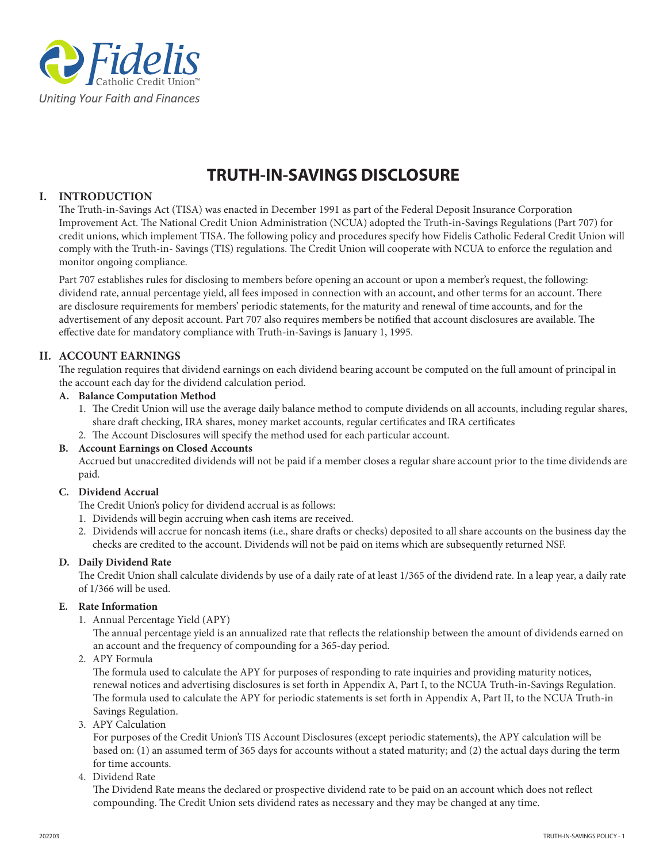

# **TRUTH-IN-SAVINGS DISCLOSURE**

## **I. INTRODUCTION**

The Truth-in-Savings Act (TISA) was enacted in December 1991 as part of the Federal Deposit Insurance Corporation Improvement Act. The National Credit Union Administration (NCUA) adopted the Truth-in-Savings Regulations (Part 707) for credit unions, which implement TISA. The following policy and procedures specify how Fidelis Catholic Federal Credit Union will comply with the Truth-in- Savings (TIS) regulations. The Credit Union will cooperate with NCUA to enforce the regulation and monitor ongoing compliance.

Part 707 establishes rules for disclosing to members before opening an account or upon a member's request, the following: dividend rate, annual percentage yield, all fees imposed in connection with an account, and other terms for an account. There are disclosure requirements for members' periodic statements, for the maturity and renewal of time accounts, and for the advertisement of any deposit account. Part 707 also requires members be notified that account disclosures are available. The effective date for mandatory compliance with Truth-in-Savings is January 1, 1995.

# **II. ACCOUNT EARNINGS**

The regulation requires that dividend earnings on each dividend bearing account be computed on the full amount of principal in the account each day for the dividend calculation period.

## **A. Balance Computation Method**

- 1. The Credit Union will use the average daily balance method to compute dividends on all accounts, including regular shares, share draft checking, IRA shares, money market accounts, regular certificates and IRA certificates
- 2. The Account Disclosures will specify the method used for each particular account.

## **B. Account Earnings on Closed Accounts**

 Accrued but unaccredited dividends will not be paid if a member closes a regular share account prior to the time dividends are paid.

## **C. Dividend Accrual**

The Credit Union's policy for dividend accrual is as follows:

- 1. Dividends will begin accruing when cash items are received.
- 2. Dividends will accrue for noncash items (i.e., share drafts or checks) deposited to all share accounts on the business day the checks are credited to the account. Dividends will not be paid on items which are subsequently returned NSF.

## **D. Daily Dividend Rate**

The Credit Union shall calculate dividends by use of a daily rate of at least 1/365 of the dividend rate. In a leap year, a daily rate of 1/366 will be used.

## **E. Rate Information**

1. Annual Percentage Yield (APY)

The annual percentage yield is an annualized rate that reflects the relationship between the amount of dividends earned on an account and the frequency of compounding for a 365-day period.

2. APY Formula

The formula used to calculate the APY for purposes of responding to rate inquiries and providing maturity notices, renewal notices and advertising disclosures is set forth in Appendix A, Part I, to the NCUA Truth-in-Savings Regulation. The formula used to calculate the APY for periodic statements is set forth in Appendix A, Part II, to the NCUA Truth-in Savings Regulation.

3. APY Calculation

For purposes of the Credit Union's TIS Account Disclosures (except periodic statements), the APY calculation will be based on: (1) an assumed term of 365 days for accounts without a stated maturity; and (2) the actual days during the term for time accounts.

4. Dividend Rate

The Dividend Rate means the declared or prospective dividend rate to be paid on an account which does not reflect compounding. The Credit Union sets dividend rates as necessary and they may be changed at any time.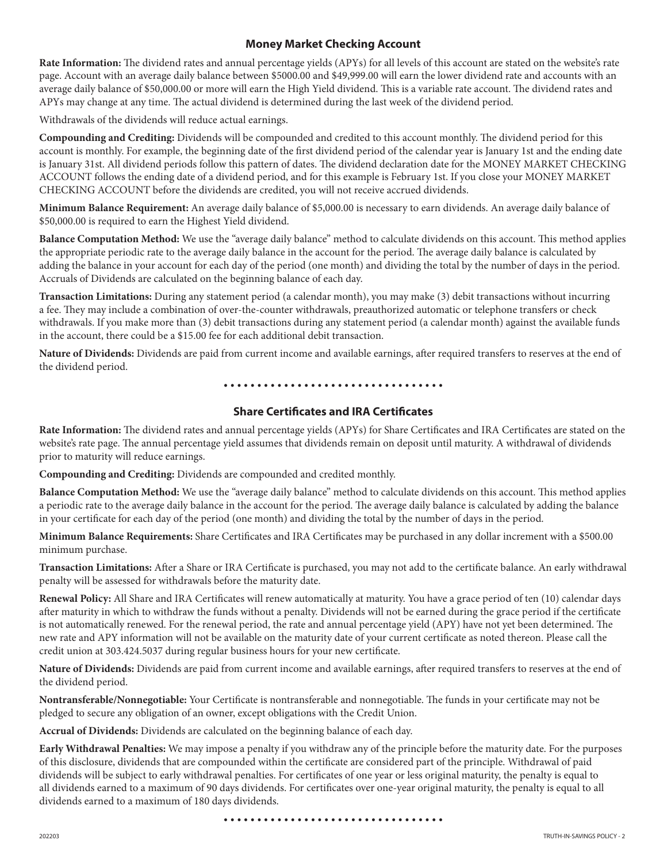# **Money Market Checking Account**

**Rate Information:** The dividend rates and annual percentage yields (APYs) for all levels of this account are stated on the website's rate page. Account with an average daily balance between \$5000.00 and \$49,999.00 will earn the lower dividend rate and accounts with an average daily balance of \$50,000.00 or more will earn the High Yield dividend. This is a variable rate account. The dividend rates and APYs may change at any time. The actual dividend is determined during the last week of the dividend period.

Withdrawals of the dividends will reduce actual earnings.

**Compounding and Crediting:** Dividends will be compounded and credited to this account monthly. The dividend period for this account is monthly. For example, the beginning date of the first dividend period of the calendar year is January 1st and the ending date is January 31st. All dividend periods follow this pattern of dates. The dividend declaration date for the MONEY MARKET CHECKING ACCOUNT follows the ending date of a dividend period, and for this example is February 1st. If you close your MONEY MARKET CHECKING ACCOUNT before the dividends are credited, you will not receive accrued dividends.

**Minimum Balance Requirement:** An average daily balance of \$5,000.00 is necessary to earn dividends. An average daily balance of \$50,000.00 is required to earn the Highest Yield dividend.

**Balance Computation Method:** We use the "average daily balance" method to calculate dividends on this account. This method applies the appropriate periodic rate to the average daily balance in the account for the period. The average daily balance is calculated by adding the balance in your account for each day of the period (one month) and dividing the total by the number of days in the period. Accruals of Dividends are calculated on the beginning balance of each day.

**Transaction Limitations:** During any statement period (a calendar month), you may make (3) debit transactions without incurring a fee. They may include a combination of over-the-counter withdrawals, preauthorized automatic or telephone transfers or check withdrawals. If you make more than (3) debit transactions during any statement period (a calendar month) against the available funds in the account, there could be a \$15.00 fee for each additional debit transaction.

**Nature of Dividends:** Dividends are paid from current income and available earnings, after required transfers to reserves at the end of the dividend period.

• • • • • • • • • • • • • • • • • • • • • • • • • • • • • • • • •

## **Share Certificates and IRA Certificates**

**Rate Information:** The dividend rates and annual percentage yields (APYs) for Share Certificates and IRA Certificates are stated on the website's rate page. The annual percentage yield assumes that dividends remain on deposit until maturity. A withdrawal of dividends prior to maturity will reduce earnings.

**Compounding and Crediting:** Dividends are compounded and credited monthly.

**Balance Computation Method:** We use the "average daily balance" method to calculate dividends on this account. This method applies a periodic rate to the average daily balance in the account for the period. The average daily balance is calculated by adding the balance in your certificate for each day of the period (one month) and dividing the total by the number of days in the period.

**Minimum Balance Requirements:** Share Certificates and IRA Certificates may be purchased in any dollar increment with a \$500.00 minimum purchase.

**Transaction Limitations:** After a Share or IRA Certificate is purchased, you may not add to the certificate balance. An early withdrawal penalty will be assessed for withdrawals before the maturity date.

**Renewal Policy:** All Share and IRA Certificates will renew automatically at maturity. You have a grace period of ten (10) calendar days after maturity in which to withdraw the funds without a penalty. Dividends will not be earned during the grace period if the certificate is not automatically renewed. For the renewal period, the rate and annual percentage yield (APY) have not yet been determined. The new rate and APY information will not be available on the maturity date of your current certificate as noted thereon. Please call the credit union at 303.424.5037 during regular business hours for your new certificate.

**Nature of Dividends:** Dividends are paid from current income and available earnings, after required transfers to reserves at the end of the dividend period.

**Nontransferable/Nonnegotiable:** Your Certificate is nontransferable and nonnegotiable. The funds in your certificate may not be pledged to secure any obligation of an owner, except obligations with the Credit Union.

**Accrual of Dividends:** Dividends are calculated on the beginning balance of each day.

**Early Withdrawal Penalties:** We may impose a penalty if you withdraw any of the principle before the maturity date. For the purposes of this disclosure, dividends that are compounded within the certificate are considered part of the principle. Withdrawal of paid dividends will be subject to early withdrawal penalties. For certificates of one year or less original maturity, the penalty is equal to all dividends earned to a maximum of 90 days dividends. For certificates over one-year original maturity, the penalty is equal to all dividends earned to a maximum of 180 days dividends.

• • • • • • • • • • • • • • • • • • • • • • • • • • • • • • • • •